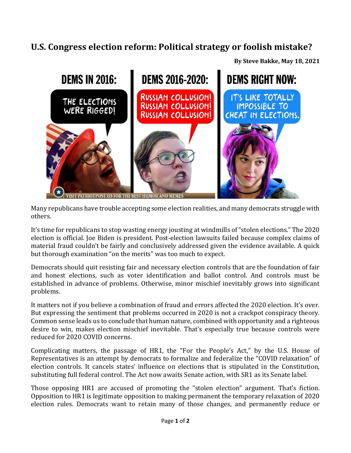## **U.S. Congress election reform: Political strategy or foolish mistake?**





Many republicans have trouble accepting some election realities, and many democrats struggle with others.

It's time for republicans to stop wasting energy jousting at windmills of "stolen elections." The 2020 election is official. Joe Biden is president. Post-election lawsuits failed because complex claims of material fraud couldn't be fairly and conclusively addressed given the evidence available. A quick but thorough examination "on the merits" was too much to expect.

Democrats should quit resisting fair and necessary election controls that are the foundation of fair and honest elections, such as voter identification and ballot control. And controls must be established in advance of problems. Otherwise, minor mischief inevitably grows into significant problems.

It matters not if you believe a combination of fraud and errors affected the 2020 election. It's over. But expressing the sentiment that problems occurred in 2020 is not a crackpot conspiracy theory. Common sense leads us to conclude that human nature, combined with opportunity and a righteous desire to win, makes election mischief inevitable. That's especially true because controls were reduced for 2020 COVID concerns.

Complicating matters, the passage of HR1, the "For the People's Act," by the U.S. House of Representatives is an attempt by democrats to formalize and federalize the "COVID relaxation" of election controls. It cancels states' influence on elections that is stipulated in the Constitution, substituting full federal control. The Act now awaits Senate action, with SR1 as its Senate label.

Those opposing HR1 are accused of promoting the "stolen election" argument. That's fiction. Opposition to HR1 is legitimate opposition to making permanent the temporary relaxation of 2020 election rules. Democrats want to retain many of those changes, and permanently reduce or